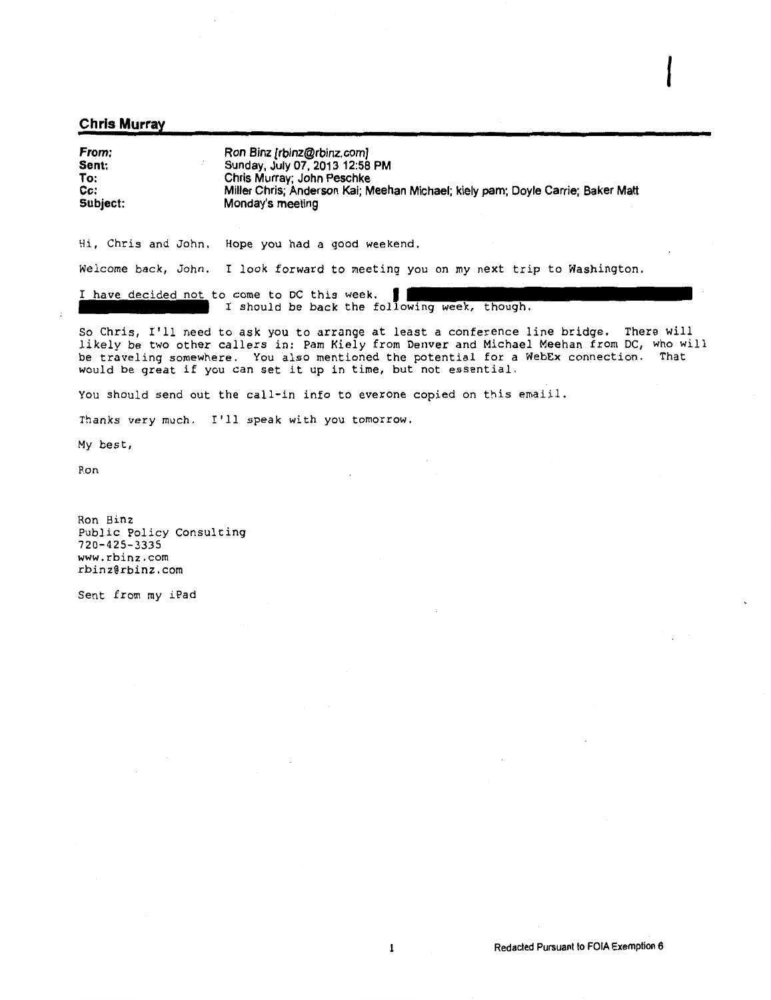#### Chris Murray

| From:<br>Sent:<br>To:<br>cc: | Ron Binz [rbinz@rbinz.com]<br>Sunday, July 07, 2013 12:58 PM<br>Chris Murray; John Peschke<br>Miller Chris: Anderson Kai; Meehan Michael; kiely pam; Doyle Carrie; Baker Matt |
|------------------------------|-------------------------------------------------------------------------------------------------------------------------------------------------------------------------------|
|                              |                                                                                                                                                                               |
| Subject:                     | Monday's meeting                                                                                                                                                              |

Hi, Chris and John. Hope you had a good weekend,

Welcome back, John. I look forward to meeting you on my next trip to Washington.

I have decided not to come to DC this week. I should be back the *toll* 

So Chris, I'll need to ask you to arrange at least a conference line bridge, There will *likely* be two other callers in: Pam *Kiely* from Denver and Michael Meehan fron1 DC, who will be traveling somewhere. You also mentioned the potential for a WebEx connection. That would be great if you can set it up in time, but not essential.

You should send out the call-in info to everone copied on this emaiil.

Thanks very much. I'll speak with you tomorrow.

My best,

Ron

Ron Binz Public Policy Consulting 720-425-3335 www.rbinz.com rbinz@rbinz.com

Sent from my iPad

*I*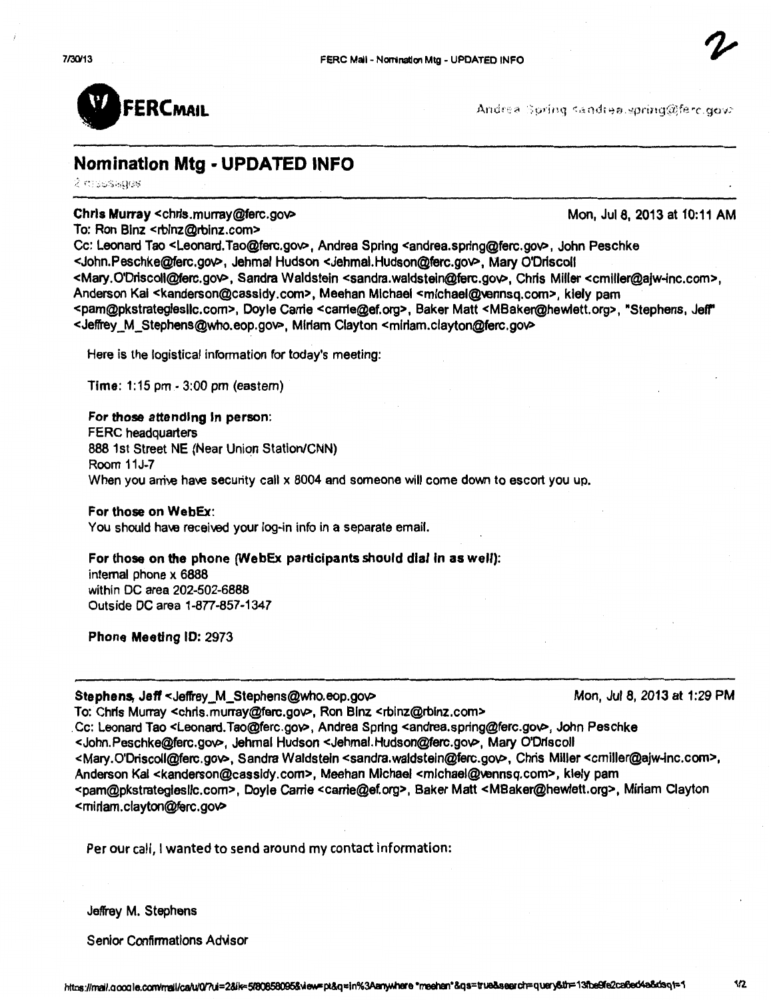

Andrea Spring sandrea.spring@ferc.gov>

# Nomination Mtg ·UPDATED INFO

2 massages

#### Chris Murray <chris.murray@ferc.gov> Mon, Jul 8, 2013 at 10:11 AM

To: Ron Binz <rbinz@rbinz.com>

Cc: Leonard Tao <Leonard.Tao@ferc.gov>, Andrea Spring <andrea.spring@ferc.gov>, John Peschke <John.Peschke@ferc.goV>, Jehmal Hudson <Jehmai.Hudson@ferc.goV>, Mary O'Drfscoll <Mary.O'Driscoll@ferc.goV>, Sandra Waldstein <sandra.waldstein@ferc.goV>, Chris Miller <cmiller@ajw-inc.com>, Anderson Kai <kanderson@cassidy.com>, Meehan Michael <mlchael@vennsq.com>, kiely pam <pam@pkstrateglesllc.com>, Doyle Carrie <carrfe@ef.org>, Baker Matt <MBaker@hewlett.org>, •stephens, Jeff" <Jeffrey M\_Stephens@who.eop.gov>, Miriam Clayton <miriam.clayton@ferc.gov>

Here is the logistical infonnation for today's meeting:

Time: 1:15pm-3:00pm (eastern)

For those attending In person: FERC headquarters 888 1st Street NE (Near Union Statlon/CNN) Room 11J-7 When you amive have security call x 8004 and someone will come down to escort you up.

#### For those on WebEx:

You should have receiwd your log-in info in a separate email.

#### For those on the phone (WebEx participants should dial in as well):

internal phone x 6888 within DC area 202-502-6888 Outside DC area 1-877-857-1347

Phone Meeting 10: 2973

#### Stephens, Jeff <Jeffrey M\_Stephens@who.eop.gov> Mon, Jul 8, 2013 at 1:29 PM

To: Chris Murray <chris.murray@ferc.gov>, Ron Binz <rbinz@rbinz.com>

. Cc: Leonard Tao <Leonard. Tao@ferc.goV>, Andrea Spring <andrea.spring@ferc.goV>, John Peschke <John.Peschke@ferc.gov>, Jehrnal Hudson <Jehmal.Hudson@ferc.gov>, Mary O'Driscoll <Mary.O'Driscoll@ferc.goV>, Sandra Waldsteln <sandra.waldsteln@ferc.goV>, Chris Miller <cmiller@ajw-inc.com>, Anderson Kai <kanderson@cassidy.com>, Meehan Michael <michael@yennsq.com>, kiely pam <pam@pkstrateglesllc.com>, Doyle Carrie <carrle@ef.org>, Baker Matt <MBaker@hewlett.org>, Miriam Clayton <mirlam.clayton@ferc.gov>

Per our call, I wanted to send around my contact information:

Jeffrey M. Stephens

Senior Confirmations Advisor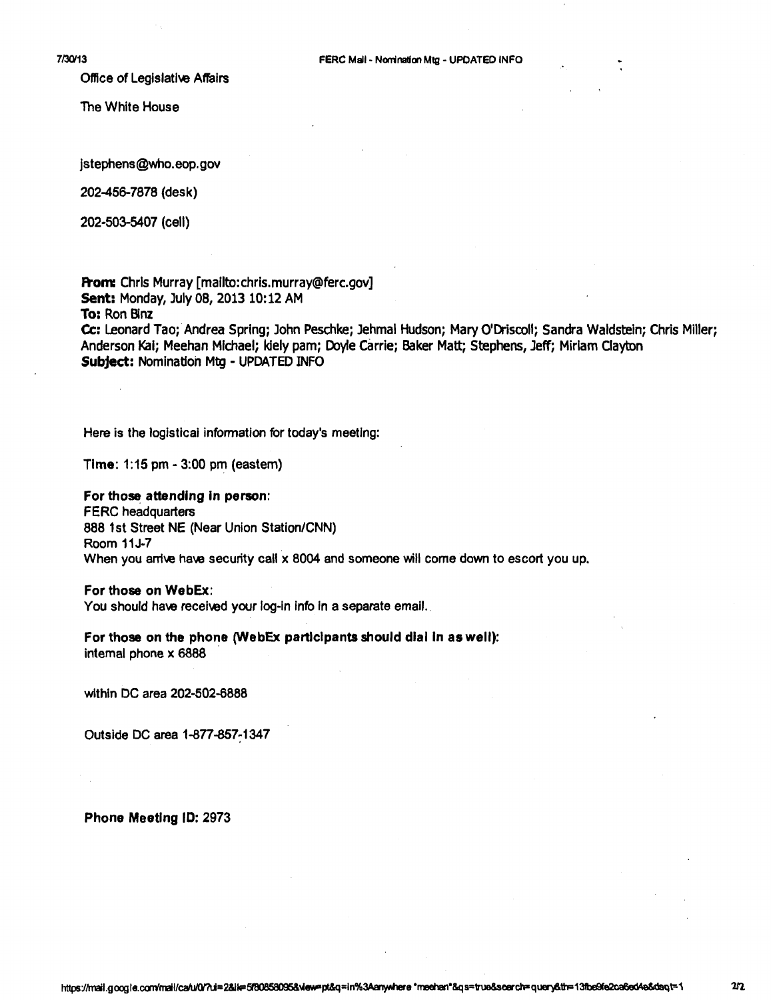Office of Legislative Affairs

The White House

jstephens@who.eop.gov

202-456-7878 (desk)

202-503-5407 (cell)

From: Chris Murray [mailto:chris.murray@ferc.gov] Sent: Monday, July 08, 2013 10:12 AM

To: Ron Blnz

Cc: Leonard Tao; Andrea Spring; John Peschke; Jehmal Hudson; Mary O'Driscoll; Sandra Waldstein; Chris Miller; Anderson Kai; Meehan Michael; klely pam; Doyle Carrie; Baker Matt; Stephens, Jeff; Miriam Clayton Subject: Nomination Mtg- UPDATED INFO

Here is the logistical information for today's meeting:

Time: 1:15 pm - 3:00 pm (eastem)

For those attending In person: FERC headquarters 888 1st Street NE (Near Union Station/CNN) Room 11J-7 When you anive have security call x 8004 and someone will come down to escort you up.

For those on WebEx:

You should have received your log-in info in a separate email.

For those on the phone (WebEx participants should dial In as well): internal phone x 6888

within DC area 202-502-6888

Outside DC area 1-877-857-1347

Phone Meeting ID: 2973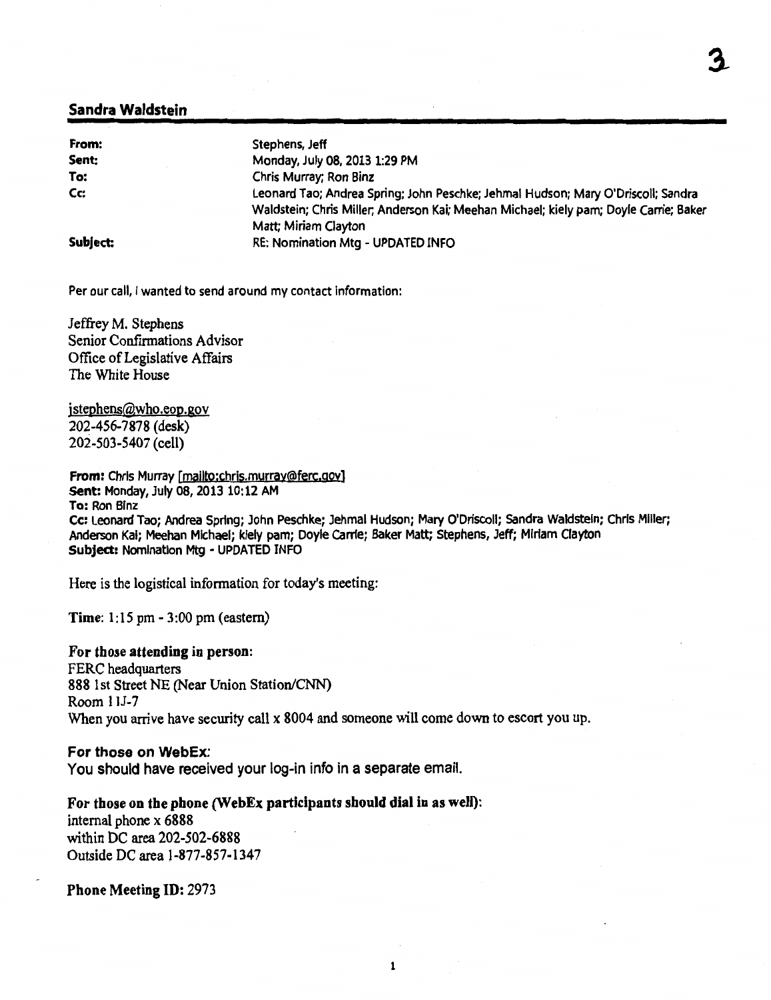#### Sandra Waldstein

| From:    | Stephens, Jeff                                                                                                                                                            |
|----------|---------------------------------------------------------------------------------------------------------------------------------------------------------------------------|
| Sent:    | Monday, July 08, 2013 1:29 PM                                                                                                                                             |
| To:      | Chris Murray; Ron Binz                                                                                                                                                    |
| Cc:      | Leonard Tao; Andrea Spring; John Peschke; Jehmal Hudson; Mary O'Driscoll; Sandra<br>Waldstein; Chris Miller; Anderson Kai; Meehan Michael; kiely pam; Doyle Carrie; Baker |
|          | Matt; Miriam Clayton                                                                                                                                                      |
| Subject: | RE: Nomination Mtg - UPDATED INFO                                                                                                                                         |

Per our call, I wanted to send around my contact information:

Jeffrey M. Stephens Senior Confirmations Advisor Office of Legislative Affairs The White House

jstephens@who.eop.gov 202-456-7878 (desk) 202-503-5407 (cell)

From: Chris Murray [mailto:chrjs.murray@ferc.qoy] Sent: Monday, July 08, 2013 10:12 AM To: Ron Blnz Cc: Leonard Tao; Andrea Spring; John Peschke; Jehmal Hudson; Mary O'Driscoll; Sandra Waldstein; Chris Miller; Anderson Kai; Meehan Michael; kiely pam; Doyle Carrie; Baker Matt; Stephens, Jeff; Miriam Clayton Subject: Nomination Mtg- UPDATED INFO

Here is the logistical information for today's meeting:

Time: 1:15 pm - 3:00 pm (eastern)

#### For those attending in person:

FERC headquarters 888 1st Street NE (Near Union Station/CNN) Room llJ-7 When you arrive have security call x 8004 and someone will come down to escort you up.

#### For those on WebEx:

You should have received your log-in info in a separate email.

For those on the phone (WebEx participants should dial in as well): internal phone x 6888 within DC area 202-502-6888 Outside DC area 1-877-857-1347

Phone Meeting ID: 2973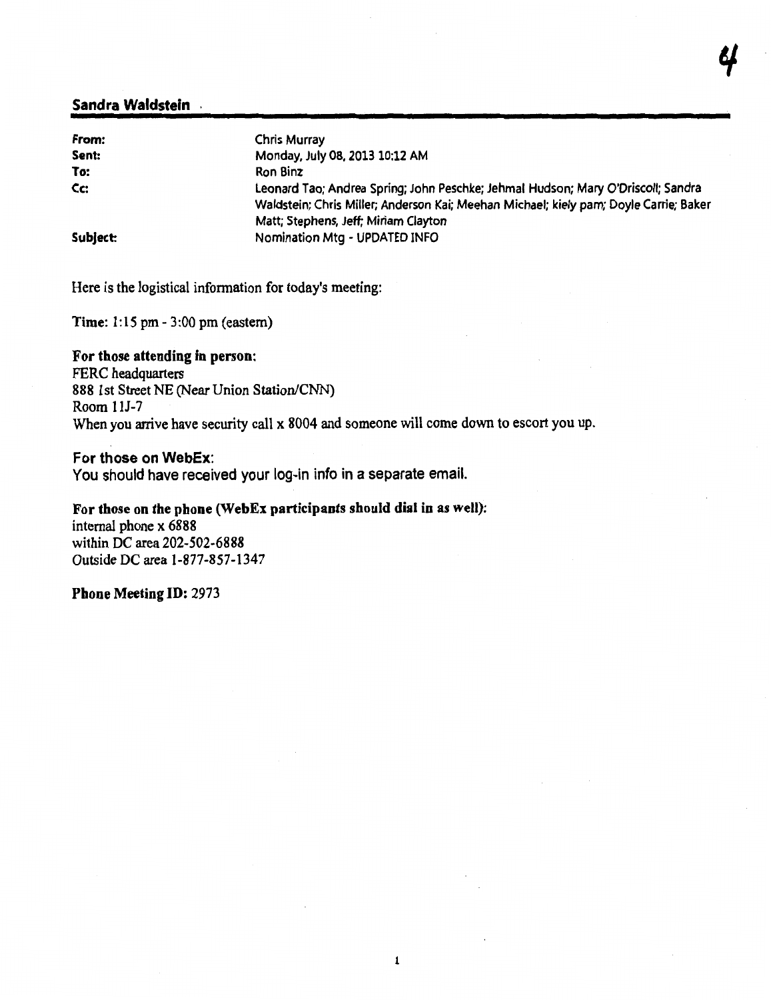#### Sandra Waldstein

| From:    | <b>Chris Murray</b>                                                                                                                                                                                               |
|----------|-------------------------------------------------------------------------------------------------------------------------------------------------------------------------------------------------------------------|
| Sent:    | Monday, July 08, 2013 10:12 AM                                                                                                                                                                                    |
| To:      | Ron Binz                                                                                                                                                                                                          |
| Cc:      | Leonard Tao; Andrea Spring; John Peschke; Jehmal Hudson; Mary O'Driscoll; Sandra<br>Waldstein; Chris Miller; Anderson Kai; Meehan Michael; kiely pam; Doyle Carrie; Baker<br>Matt; Stephens, Jeff; Miriam Clayton |
| Subject: | Nomination Mtg - UPDATED INFO                                                                                                                                                                                     |

Here is the logistical information for today's meeting:

Time: 1:15 pm - 3:00 pm (eastern)

#### For those attending in person:

FERC headquarters 888 1st Street NE (Near Union Station/CNN) Room llJ-7 When you arrive have security call x 8004 and someone will come down to escort you up.

#### For those on WebEx:

You should have received your log-in info in a separate email.

#### For those on the phone (WebEx participants should dial in as well):

internal phone x 6888 within DC area 202-502-6888 Outside DC area 1-877-857-1347

Phone Meeting ID: 2973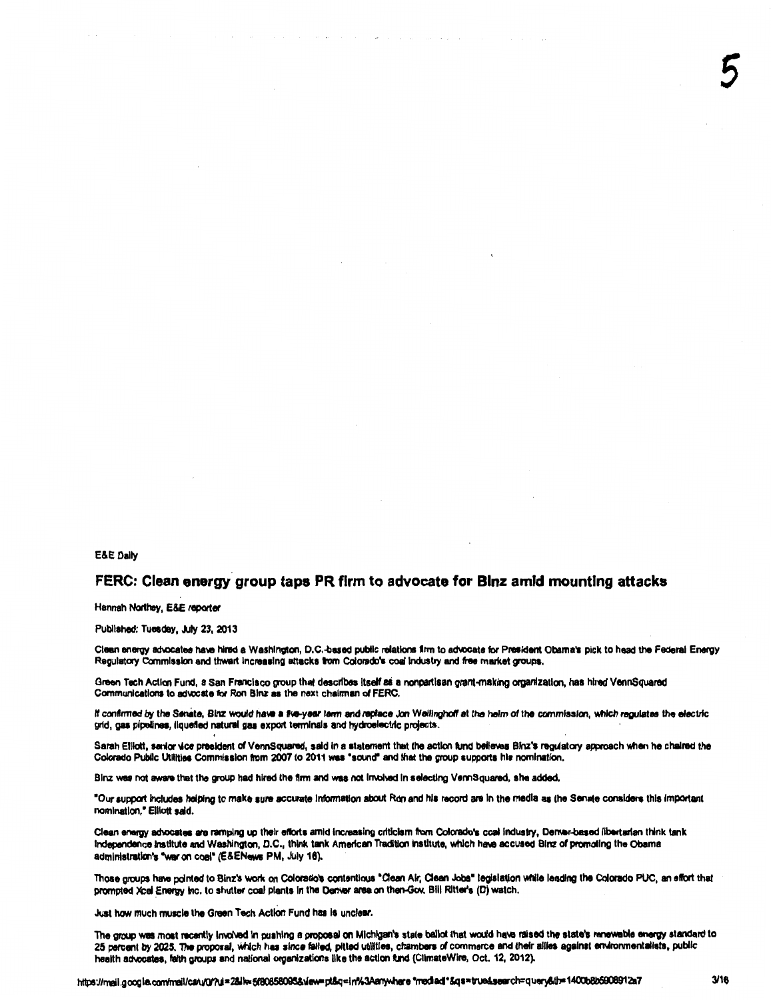#### FERC: Clean energy group taps PR firm to advocate for Blnz amid mounting attacks

Hannah Northey, E&E reporter

Published: Tuesday, July 23, 2013

Clean energy advocates have hired a Washington, D.C.-based public relations firm to advocate for President Obama's pick to head the Federal Energy Regulatory Commission and thwart increasing attacks trom Colorado's coal industry and free market groups.

Green Tach Action Fund, a San Francisco group that daacrlbea Itself ai a nonpartisan grant-making organization, has hired VennSquared Communications to advocate for Ron Binz as the next chairman of FERC.

If confirmed by the Senate, Binz would have a five-year term and replace Jon Wellingholf at the helm of the commission, which regulates the electric grid, gas pipelines, liquefied natural gas export terminals and hydroelectric projects.

Sarah Elliott, senior vice president of VennSquared, said in a statement that the action fund believes Binz's regulatory approach when he chaired the Colorado Public Utilities Commission from 2007 to 2011 was "sound" and that the group supports his nomination.

Blnz was not aware that the group had hired the firm and was not involved in selecting VermSquared, she added.

"Our support includes helping to make sure accurate information about Ron and his record are in the media as the Senate considers this important nomination," Elliott said.

Clean energy advocates are ramping up their efforts amid increasing criticism from Colorado's coal industry, Derver-based libertarian think tank Independence Institute and Washington, D.C., think tank American Tradition Institute, which have accused Binz of promoting the Obama administration's "wet on coal" (E&ENewa PM, July 18).

Those groups have pointed to Binz's work on Colorado's contentious "Clean Air, Clean Jobs" legislation while leading the Colorado PUC, an effort that prompted Xcel Energy inc. to shutter coal plants in the Denver area on then-Gov. Bill Ritter's (D) watch.

Just how much muscle the Green Tech Action Fund has is unclear.

The group was most recently involved in pushing a proposal on Michigan's state ballot that would have raised the state's renewable energy standard to 25 percent by 2025. The proposal, which has since failed, pitted utilities, chambers of commerce and their allies against environmentalists, public health advocates, faith groups and national organizations like the action fund (ClimateWire, Oct. 12, 2012).

5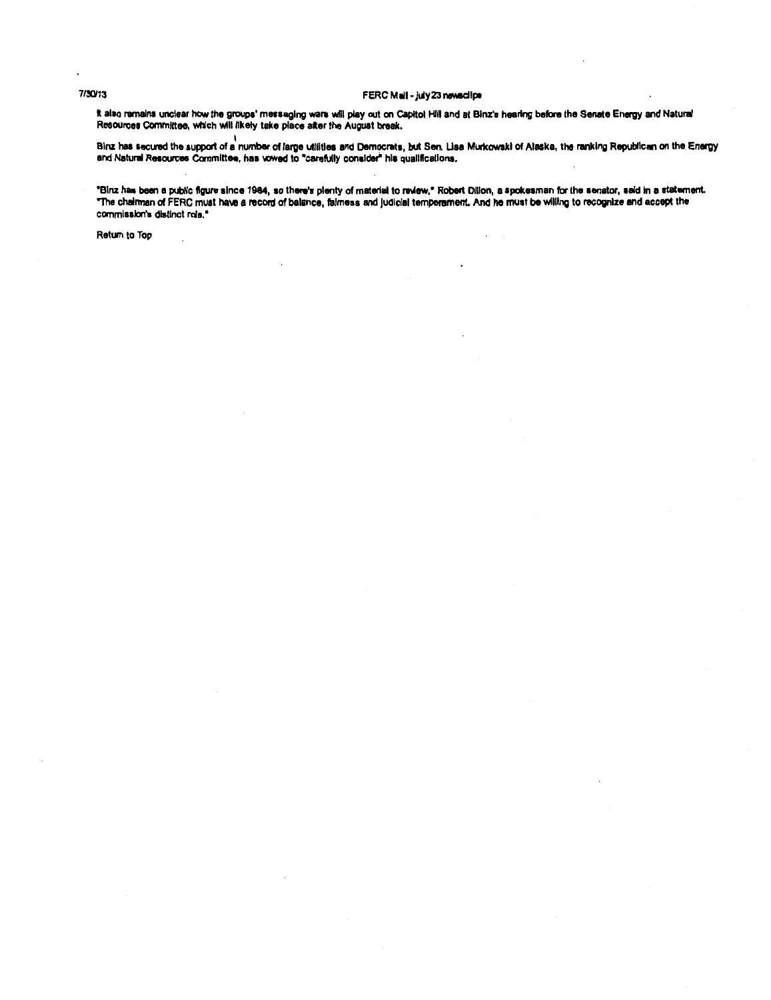#### 7/30/13 FERC Mail - july 23 newsclips

It also remains unclear how the groups' messaging wars will play out on Capitol Hill and at Binz's hearing before the Senate Energy and Natural Resources Committee, which will likely take place after the August break.

Binz has secured the support of a number of large utilities and Democrats, but Sen. Lisa Murkowski of Alaska, the ranking Republican on the Energy and Natural Resources Committee, has vowed to "carefully consider" his qualifications.

"Binz has been a public figure since 1984, so there's plenty of material to review," Robert Dillon, a spokesman for the senator, said in a statement. "The chalman of FERC must have a record of balance, falmess and judicial temperament. And he must be willing to recognize and accept the commission's distinct role. •

Return to Top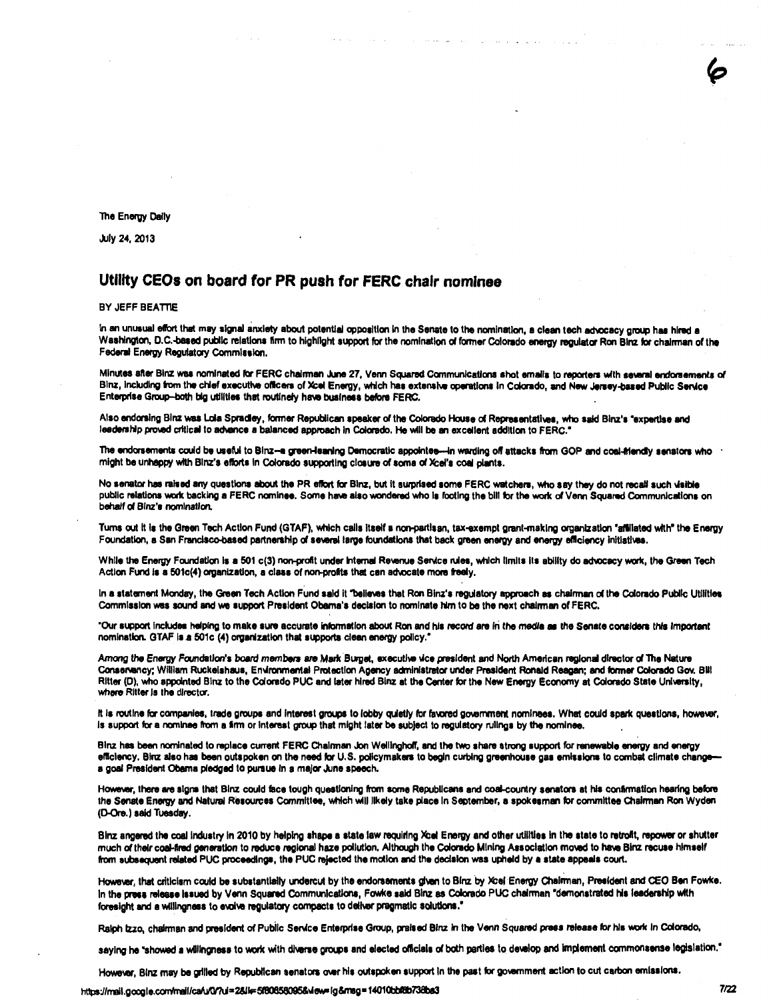The Energy Cally

July 24, 2013

#### Utility CEOs on board for PR push for FERC chair nominee

BY JEFF BEATTIE

In an unusual effort that may signal anxiety about potential opposition in the Senate to the nomination, a clean tech advocacy group has hired a Washington, D.C.-based public relations firm to highlight support for the nomination of former Colorado energy regulator Ron Blnz for chairman of the Federal Energy Regulatory Commission.

Minutes after Blnz was nominated for FERC chairman June 27, Venn Squared Communications shot emails to reporters with sevaral endorsements of Binz, including from the chief executive officers of Xcel Energy, which has extensive operations in Colorado, and New Jersey-based Public Service Enterprise Group-both big utilities that routinely have business before FERC.

Also endorsing Blnz was Lola Spradley, former Republican speaker of the Colorado House of Representatives, who said Blnz's "expertise and leadership proved critical to advance a balanced approach in Colorado. He will be an excellent addition to FERC.<sup>\*</sup>

The endorsements could be useful to Binz--a green-leaning Democratic appointes---in warding off attacks from GOP and coal-triendly senators who might be unhappy with Blnz's efforts in Colorado supporting closure of some of Xcel's coal plants.

No senator has raised any questions about the PR effort for Blnz, but it surprised some FERC watchers, who say they do not recall such visible public relations work backing a FERC nominee. Some have also wondered who is footing the bill for the work of Venn Squared Communications on behalf of Blnz's nomination.

Tums out it is the Green Tech Action Fund (GTAF), which calls itself a non-partisan, tax-exempt grant-making organization "affiliated with" the Energy Foundation, a San Francisco-based partnership of several large foundations that back green energy and energy efficiency initiatives.

While the Energy Foundation is a 501 c(3) non-profit under Internal Revenue Service rules, which limits its ability do advocacy work, the Green Tech Action Fund is a 501c(4) organization, a class of non-profits that can advocate more freely.

In a statement Monday, the Green Tech Action Fund said it "believes that Ron Binz's regulatory approach as chairman of the Colorado Public Utilities Commission was sound and we support President Obama's decision to nominate him to be the next chairman of FERC.

"Our support includes helping to make sure accurate information about Ron and his record are in the media as the Senate considers this important nomination. GTAF Is a 501c (4) organization that aupporta clean energy policy."

Among the Energy Foundation's board members are Mark Burget, executive vice president and North American regional director of The Nature Conservancy; William Ruckelshaus, Environmental Protection Agency administrator under President Ronald Reagan; and former Colorado Gov. Bill Ritter (D), who appointed Binz to the Colorado PUC and later hired Binz at the Center for the New Energy Economy at Colorado State University, where Ritter is the director.

It is routine for companies, trade groups and interest groups to lobby quietly for favored government nominees. What could spark questions, however, Is support for a nominee from a firm or interest group that might later be subject to regulatory rulings by the nominee.

Blnz has been nominated to replace current FERC Chalnnan Jon Welllngholr, and the two share strong aupport for renewable anergy and energy efficiency. Binz also has been outspoken on the need for U.S. policymakers to begin curbing greenhouse gas emissions to combat climate change a goal President Obama pledged to puraue In a major June speech.

However, there are signs that Blnz could face tough questioning from some Republicans and coal-country senators at his confirmation hearing before the Senate Energy and Natural Resources Committee, which will likely take place In September, a spokesman for committee Chairman Ron Wyden ([).Ore.) saki Tuesday.

Binz angered the coal industry in 2010 by helping shape a state law requiring Xcel Energy and other utilities in the state to retrofit, repower or shutter much of their coal-fired generation to reduce regional haze pollution. Although the Colorado Mining Association moved to have Binz recuse himself from subaaquent related PUC proceedlnga, the PUC rejected the motion and the decision was upheld by a state appeals court.

However, that criticism could be substantially undercut by the endorsements given to Binz by Xcel Energy Chairman, President and CEO Ben Fowke. In the press release issued by Venn Squared Communications, Fowke said Binz as Colorado PUC chairman "demonstrated his leadership with foresight and a willingness to evolve regulatory compacts to deliver pragmatic solutions."

Ralph Izzo, chairman and president of Pubilc Service Enterprise Group, praised Blnz in the Venn Squared press release for his work in Colorado,

saying he "showed a willingness to work with diverse groups and elected officials of both parties to develop and implement commonsense legislation."

However, Binz may be grilled by Republican senators over his outspoken support in the past for government action to cut carbon emissions.

https://mail.google.com/mail/ca/u/0/?ui=2&lk=5f80858095&view=lg&rreg=14010bbf&b73Bbe3 7122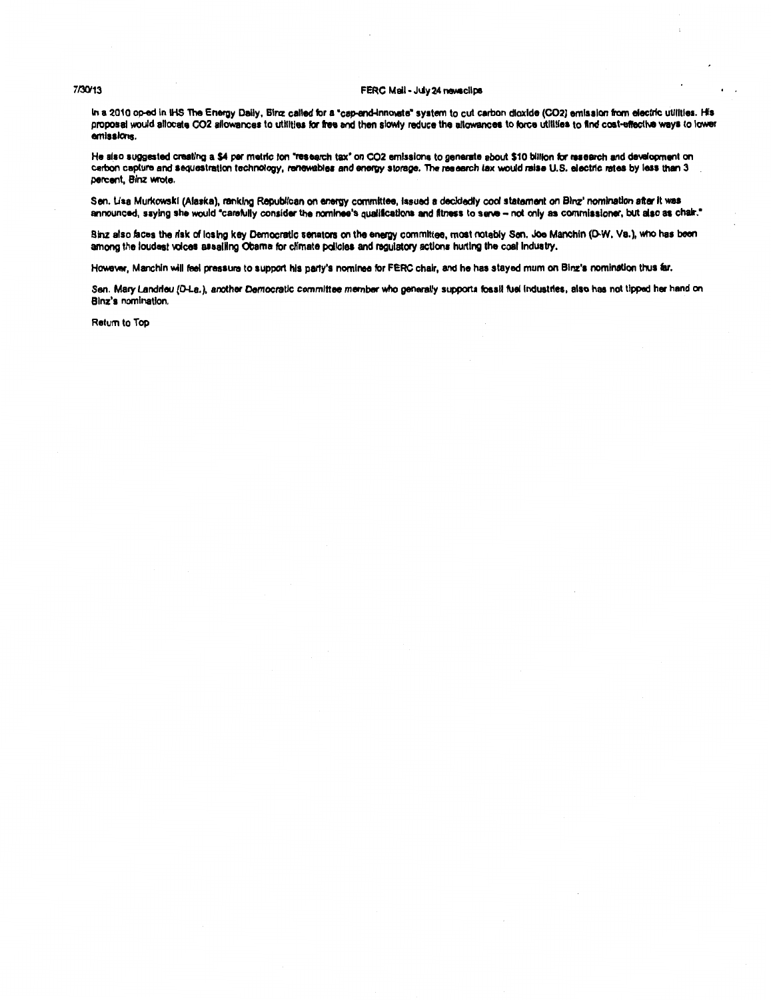#### 7/30/13 FERC Mail - July 24 newsclips

In a 2010 op-ed in IHS The Energy Daily, Binz called for a "cap-and-innovate" system to cut carbon dioxide (CO2) emission from electric utilities. His proposal would allocate CO2 allowances to utilities for free and then slowly reduce the allowances to force utilities to find cost-effective ways to lower emissions.

He also suggested creating a \$4 per metric ton "research tax" on CO2 emissions to generate about \$10 billion for research and development on carbon capture and sequestration technology, renewables and energy storage. The research tax would raise U.S. electric rates by less than 3 percent, Blnz wrote.

Sen. Lisa Murkowski (Alaska), ranking Republican on energy committee, issued a decidedly cool staternent on Blnz' nomination after it was announced, saying she would "carefully consider the nominee's qualifications and fitness to serve - not only as commissioner, but also as chair."

Binz also faces the risk of losing key Democratic senators on the energy committee, most notably Sen. Joe Manchin (D-W, Va.), who has been among the loudest voices assaling Obama for climate policies and regulatory actions hurting the coal industry.

However, Manchin will feel pressure to support his party's nominee for FERC chair, and he has stayed mum on Binz's nomination thus far.

Sen. Mary Landrieu (D-La.), another Democratic committee member who generally supports fossil fuel industries, also has not tipped her hand on Blnz's nomination.

Return to Top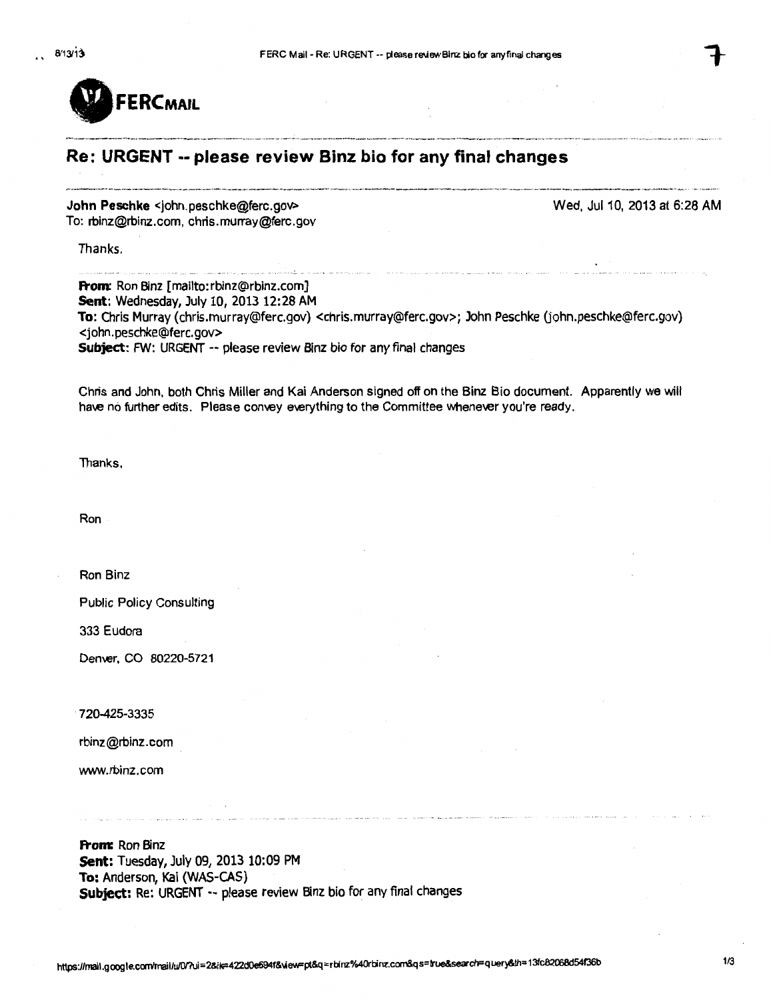

# **Re: URGENT -- please review Binz bio for any final changes**

**John Peschke** <john.peschke@ferc.goV> To: rbinz@rbinz.com, chris.murray@ferc.gov

Wed, Jul10, 2013 at 6:28AM

Thanks.

**From:** Ron Binz [mailto:rbinz@rbinz.com] **Sent:** Wednesday, July 10, 2013 12:28 AM **To:** Chris Murray (chris.murray@ferc.gov) <chris.murray@ferc.gov>; John Peschke (john.peschke@ferc.gov) <john.peschke@ferc.gov> **Subject:** FW: URGENT -- please review Binz bio for any final changes

.<br>Antonio della contrata di contrata di contrata di contrata di contrata di contrata di contrata di contrata di

Chris and John, both Chris Miller and Kai Anderson signed off on the Binz Bio document. Apparently we will have no further edits. Please convey everything to the Committee whenever you're ready.

Thanks.

Ron

Ron Binz

Public Policy Consulting

333 Eudora

Demer, CO 80220-5721

720-425-3335

rbinz@rbinz.com

www. rbinz.com

**From:** Ron Binz **Sent:** Tuesday, July 09, 2013 10:09 PM **To:** Anderson, Kai (WAS-CAS) **Subjett:** Re: URGENT-- please review Binz bio for any final changes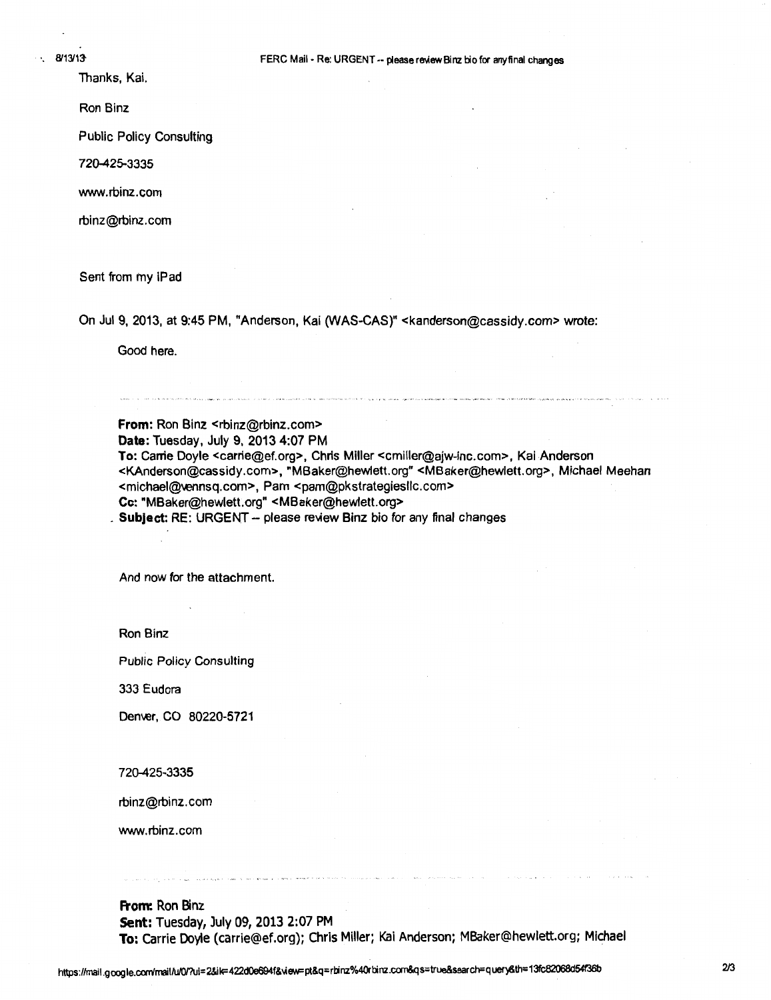Thanks, Kai.

Ron Binz

Public Policy Consulting

720425-3335

www.rbinz.com

rbinz@rbinz.com

Sent from my iPad

On Jul 9, 2013, at 9:45 PM, "Anderson, Kai (WAS-CAS)" <kanderson@cassidy.com> wrote:

Good here.

**From: Ron Binz <rbinz@rbinz.com> Date: Tuesday, July 9, 2013 4:07 PM To:** Carrie Doyle <carrie@ef.org>, Chris Miller <cmiller@ajw-inc.com>, Kai Anderson <KAnderson@cassidy.com>, "MBaker@hewlett.org" <MBaker@hewlett.org>, Michael Meehan <michael@vennsq.com>, Pam <pam@pkstrategiesllc.com> Cc: "MBaker@hewlett.org" <MBaker@hewlett.org> **Subject: RE: URGENT - please review Binz bio for any final changes** 

.<br>The considerable and an and the material consideration and the state of the state of the second semi-material material material of the state and the

And now for the attachment.

Ron Binz

Public Policy Consulting

333 Eudora

Denver, CO 80220-5721

720425-3335

rbinz@rbinz. com

www.rbinz.com

**From:** Ron Binz **Sent:** Tuesday, July 09, 2013 2:07 PM **To:** Carrie Doyle (carrie@ef.org); Chris Miller; Kai Anderson; MBaker@hewlett.org; Michael

ה הוכר מה הרחבים המצרי צומני השפוט מורכבים? ההופצת המשפח בצעים בשמצורת צומני השברים. אם הוצב הוכרין הוכרים היה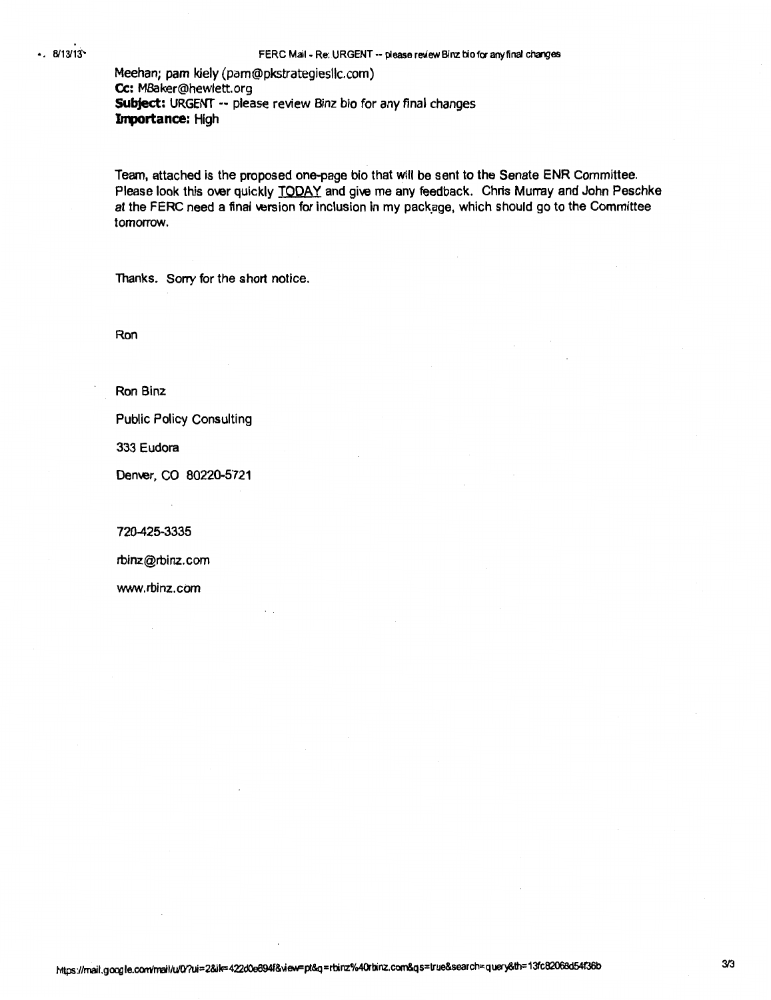Meehan; pam kiely (pam@pkstrategiesllc.com) Cc: MBaker@hewlett. org **Subject:** URGENT -- please review Binz bio for any final changes Importance: High

Team, attached is the proposed one-page bio that will be sent to the Senate ENR Committee. Please look this over quickly TODAY and give me any feedback. Chris Murray and John Peschke at the FERC need a final version for inclusion in my package, which should go to the Committee tomorrow.

Thanks. Sorry for the short notice.

Ron

Ron Binz

Public Policy Consulting

333 Eudora

Denver, CO 80220-5721

720-425-3335

rbinz@rbinz. com

www.rbinz.com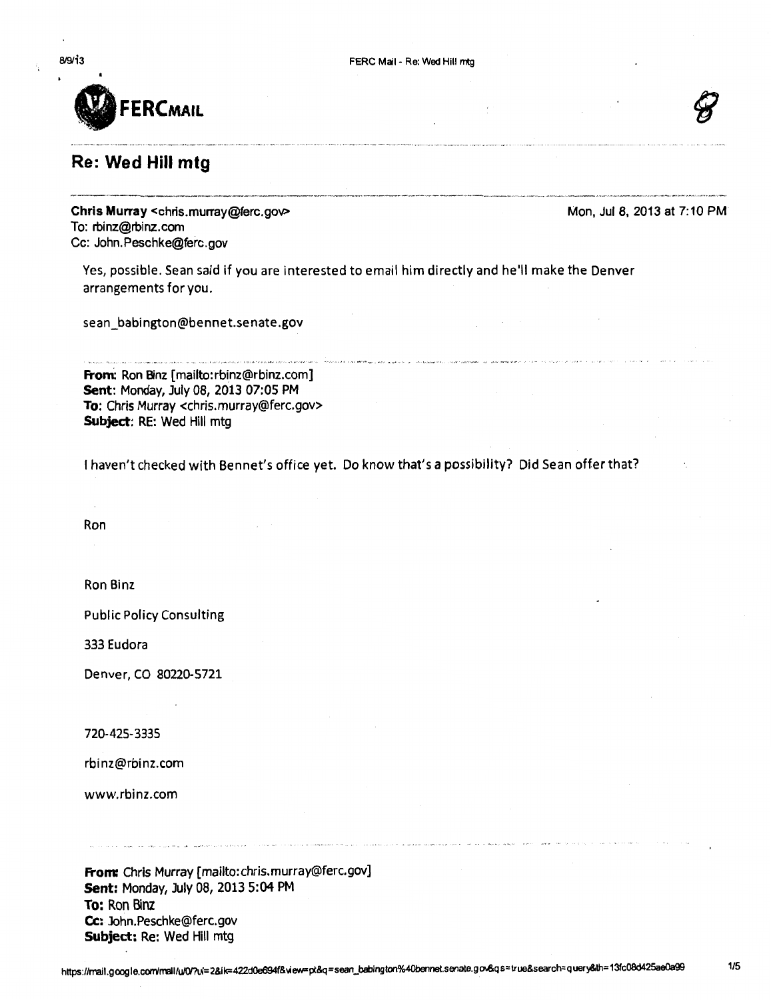

# **Re: Wed Hill mtg**

Mon, Jul 8, 2013 at 7:10 PM

**Chris Murray** <chris.murray@ferc.goV> To: rbinz@rbinz.com Cc: John.Peschke@ferc.gov

Yes, possible. Sean said if you are interested to email him directly and he'll make the Denver arrangements for you.

sean\_babington@bennet.senate.gov

**Froni:** Ron Binz [mailto:rbinz@rbinz.com] **Sent:** Monday, July 08, *2013* 07:05 PM **To:** Chris Murray <chris.murray@ferc.gov> **Subject:** RE: Wed Hill mtg

I haven't checked with Bennet's office yet. Do know that's a possibility? Did Sean offer that?

Ron

Ron Binz

Public Policy Consulting

333 Eudora

Denver, CO 80220-5721

720-425-3335

rbinz@rbinz.com

www.rbinz.com

**From:** Chris Murray [mailto:chris.murray@ferc.gov] **Sent:** Monday, July 08, 2013 5:04PM **To:** Ron Binz **Cc:** John.Peschke@ferc.gov **Subject:** Re: Wed Hill mtg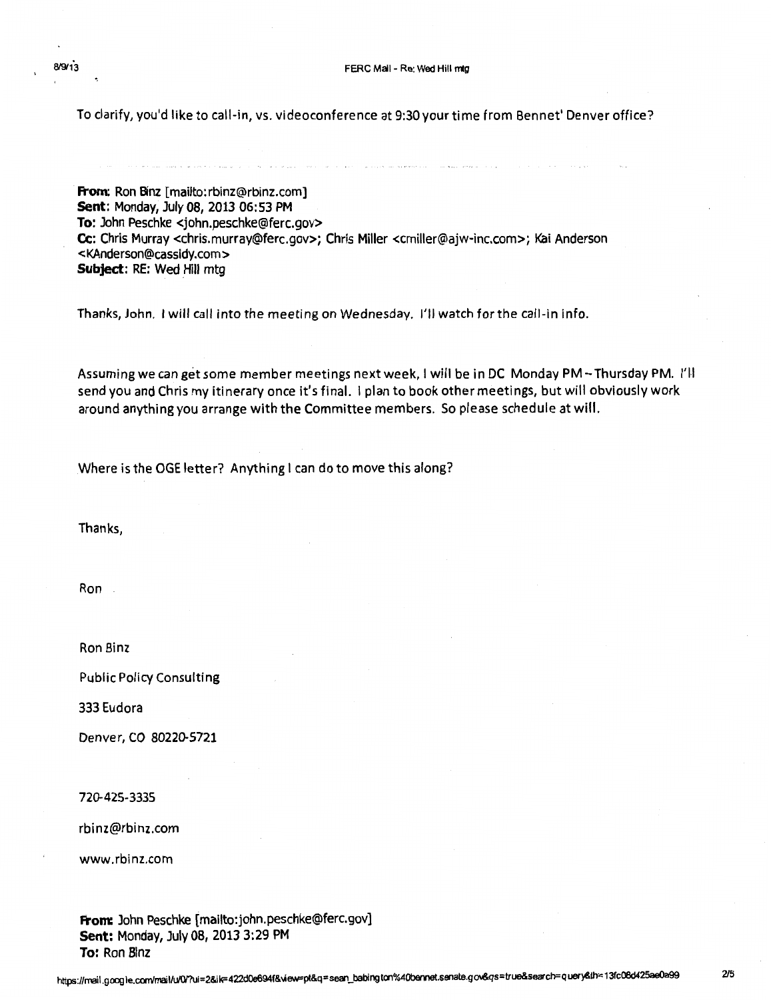To clarify, you'd like to call-in, vs. videoconference at 9:30your time from Bennet' Denver office?

**From:** Ron Binz [mailto:rbinz@rbinz.com] **Sent:** Monday, July 08, 2013 06:53 PM **To:** John Peschke <john.peschke@ferc.gov> Cc: Chris Murray <chris.murray@ferc.gov>; Chris Miller <cmiller@ajw-inc.com>; Kai Anderson < KAnderson@cassldy .com> **Subject:** RE: Wed Hill mtg

Thanks, John. I will call into the meeting on Wednesday. I'll watch for the call-in info.

Assuming we can get some member meetings next week, I will be in DC Monday PM-Thursday PM. I'll send you and Chris my itinerary once it's final. I plan to book other meetings, but will obviously work around anything you arrange with the Committee members. So please schedule at will.

Where is the OGE letter? Anything I can do to move this along?

Thanks,

Ron

Ron Binz

Public Policy Consulting

333 Eudora

Denver, CO 8022D-5721

72D-425-3335

rbinz@rbinz.com

www.rbinz.com

**From:** John Peschke [mailto:john.peschke@ferc.gov) **Sent: Monday, July 08, 2013 3:29 PM To:** Ron Blnz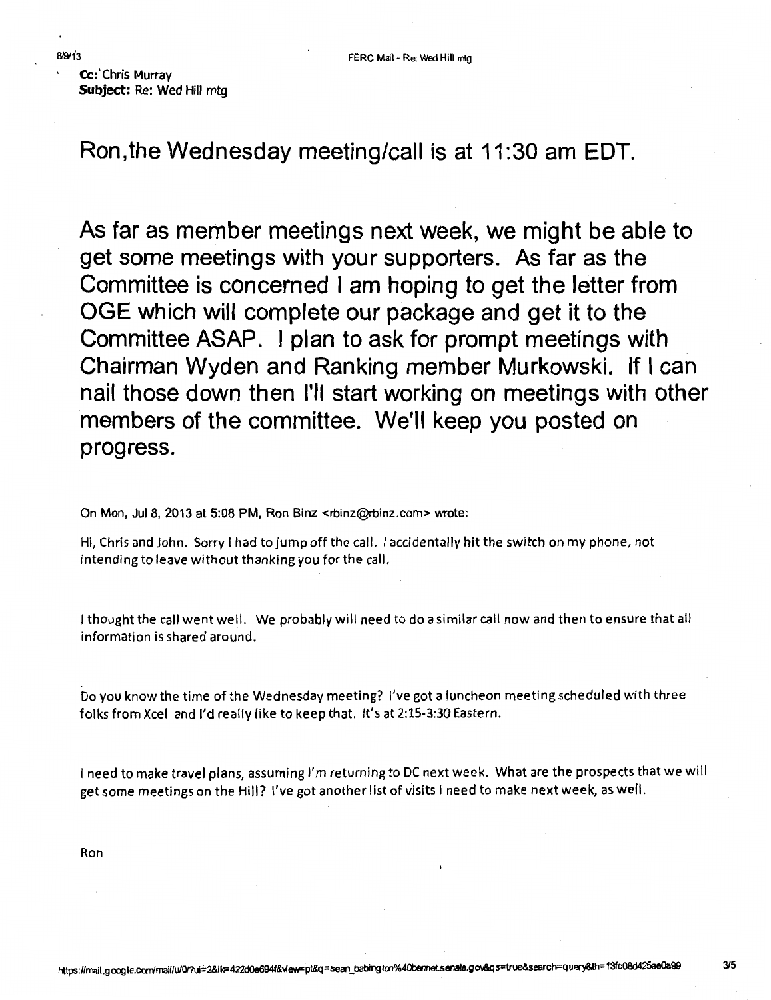Cc: Chris Murray **Subject:** Re: Wed Hill mtg

**Ron,the Wednesday meeting/call is at 11:30 am EDT.** 

**As far as member meetings next week, we might be able to get some meetings with your supporters. As far as the Committee is concerned I am hoping to get the letter from OGE which will complete our package and get it to the Committee ASAP. I plan to ask for prompt meetings with Chairman Wyden and Ranking member Murkowski. If I can nail those down then I'll start working on meetings with other members of the committee. We'll keep you posted on progress.** 

On Mon, Jul 8, 2013 at 5:08 PM, Ron Binz <rbinz@rbinz.com> wrote:

Hi, Chris and John. Sorry I had to jump off the call. I accidentally hit the switch on my phone, not intending to leave without thanking you for the call.

I thought the call went well. We probably will need to do a similar call now and then to ensure that all information is shared around.

Do you know the time of the Wednesday meeting? I've got a luncheon meeting scheduled with three folks from Xcel and I'd really like to keep that. It's at 2:15-3:30 Eastern.

I need to make travel plans, assuming I'm returning to DC next week. What are the prospects that we will get some meetings on the Hill? I've got another list of visits I need to make next week, as well.

Ron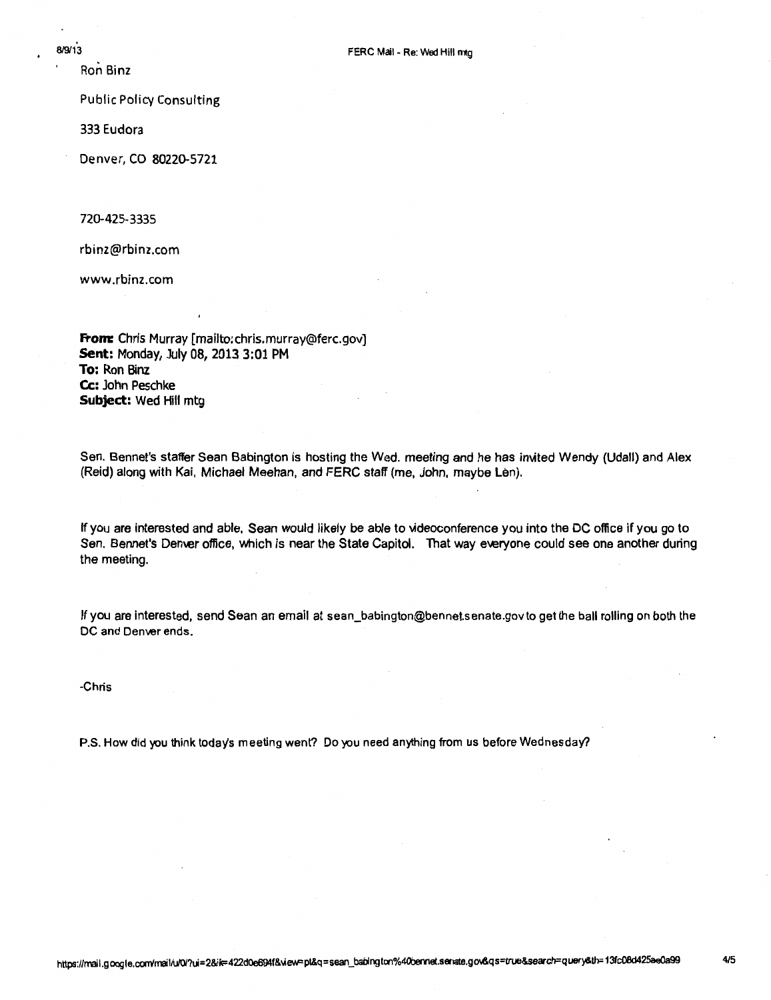Ron Binz

Public Policy Consulting

333 Eudora

Denver, CO 80220-5721

720-425-3335

rbinz@rbinz.com

www .rbinz.com

**From:** Chris Murray [mailto:chris.murray@ferc.gov] **Sent:** Monday, July 08, 2013 3:01 PM **To:** Ron Binz Cc: John Peschke **Subject:** Wed Hill mtg

Sen. Bennet's staffer Sean Babington is hosting the Wed. meeting and he has im1ted Wendy (Udall) and Alex (Reid) along with Kai, Michael Meehan, and FERC staff (me, John, maybe Len).

If you are interested and able, Sean would likely be able to videoconference you into the DC office if you go to Sen. Bennet's Denver office, which is near the State Capitol. That way everyone could see one another during the meeting.

If you are interested, send Sean an email at sean\_babington@bennet.senate.govto get the ball rolling on both the DC and Denver ends.

-Chris

P.S. How did you think today's meeting went? Do you need anything from us before Wednesday?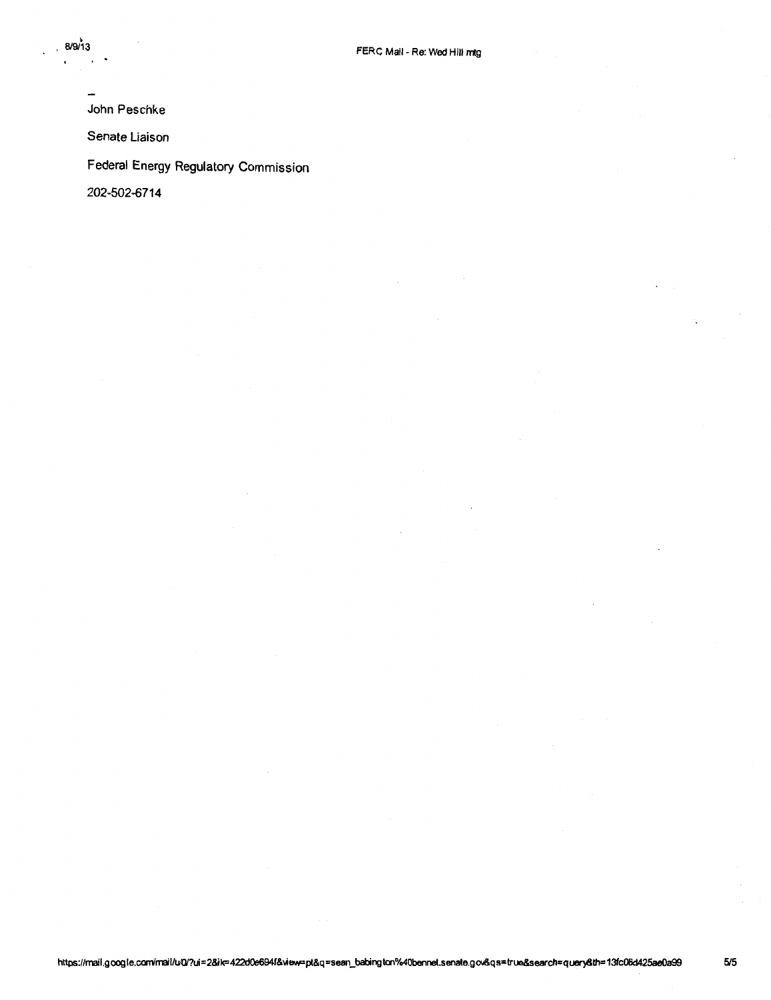John Peschke

Senate Liaison

Federal Energy Regulatory Commission

202-502-6714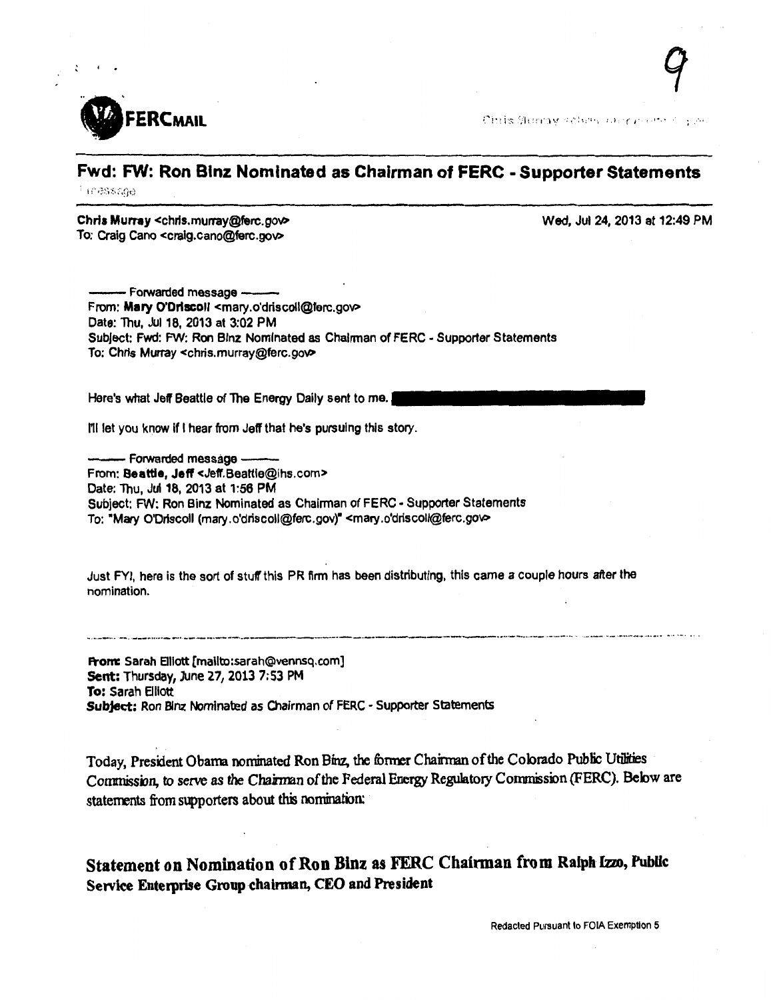

 $\ddot{\cdot}$ 

Chilis Mempy column carry present of your

#### Fwd: FW: Ron Blnz Nominated as Chairman of FERC • Supporter Statements 1038800

Chris Murray <chris.murray@ferc.gov> To: Craig Cano <craig.cano@ferc.gov>

Wed, Jul 24, 2013 at 12:49 PM

- Forwarded message -From: Mary O'Driscoll <mary.o'driscoll@ferc.gov> Date: Thu, Jul 18, 2013 at 3:02 PM Subject: Fwd: FW: Ron Blnz Nominated as Chairman of FERC - Supporter Statements To: Chris Murray <chris.murray@ferc.goV>

Here's what Jeff Beattie of The Energy Daily sent to me.

I'll let you know if I hear from Jeff that he's pursuing this story.

- Forwarded message -From: Beattie, Jeff <Jeff.Beattle@ihs.com> Date: Thu, Jul 18, 2013 at 1:56 PM Subject: FW: Ron Binz Nominated as Chairman of FERC - Supporter Statements To: "Mary O'Driscoll (mary.o'driscoll@ferc.gov)" <mary.o'driscoll@ferc.gov>

Just FYI, here is the sort of stuff' this PR firm has been distributing, this came a couple hours after the nomination .

From: Sarah Elliott [mailto:sarah@vennsq.com] Sent: Thursday, June *21,* 2013 7:53PM To: Sarah Elliott Subject: Ron Binz Nominated as Chairman of FERC - Supporter Statements

Today, President Obama nominated Ron Binz, the former Chairman of the Colorado Public Utilities Commission, to serve as the Chairman of the Federal Energy Regulatory Commission (FERC). Below are statements from supporters about this nomination:

...... --~·· --· \_\_\_ .. 090P·--·· ----·-·---··------·--·----·-M--------... ----··-------~-·-· 0 ·----- M\_ ........ --···00oo0o0 ""' '''' 00 o

Statement on Nomination of Ron Binz as FERC Chairman from Ralph Izzo, Public Service Enterprise Group chairman, CEO and President

Redacted Pursuant to FOIA Exemption 5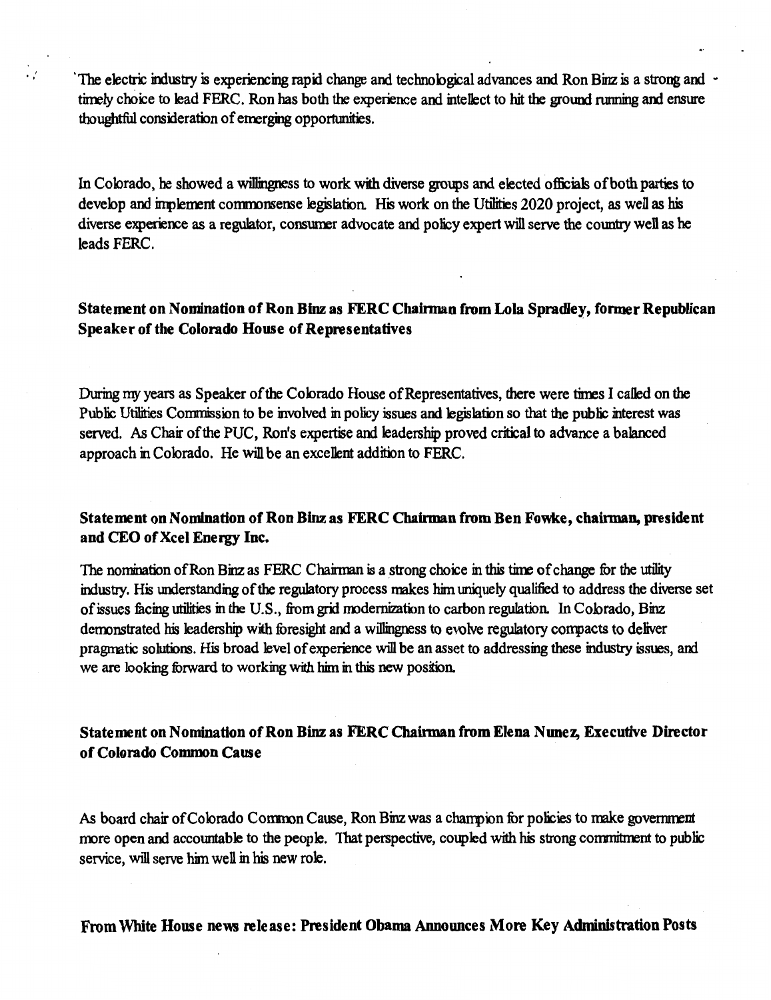The electric industry is experiencing rapid change and technological advances and Ron Binz is a strong and  $\sim$ timely choice to lead FERC. Ron has both the experience and intellect to hit the ground running and ensure thoughtful consideration of emerging opportunities.

In Colorado, he showed a willingness to work with diverse groups and elected officials of both parties to develop and implement commonsense legislation. His work on the Utilities 2020 project, as well as his diverse experience as a regulator, consumer advocate and policy expert will serve the country well as he leads FERC.

### Statement on Nomination of Ron Binz as FERC Chainnan from Lola Spradley, fonner Republican Speaker of the Colorado House of Representatives

During my years as Speaker of the Colorado House of Representatives, there were times I called on the Public Utilities Commission to be involved in policy issues and legislation so that the public interest was served. As Chair of the PUC, Ron's expertise and leadership proved critical to advance a balanced approach in Colorado. He will be an excellent addition to FERC.

#### Statement on Nomination of Ron Binz as FERC Chairman from Ben Fowke, chairman, president and CEO of Xcel Energy Inc.

The nomination of Ron Binz as FERC Chairman is a strong choice in this time of change for the utility industry. His understanding of the regulatory process makes him uniquely qualified to address the diverse set of issues facing utilities in the U.S., from grid modernization to carbon regulation. In Colorado, Binz demonstrated his leadership with foresight and a willingness to evolve regulatory compacts to deliver pragmatic solutions. His broad level of experience will be an asset to addressing these industry issues, and we are looking forward to working with him in this new position.

### Statement on Nomination of Ron Binz as FERC Chairman from Elena Nunez, Executive Director of Colorado Common Cause

As board chair of Colorado Common Cause, Ron Binz was a champion for policies to make government rrore open and accountable to the people. That perspective, coupled with his strong commitment to public service, will serve him well in his new role.

#### From White House news release: President Obama Announces More Key Administration Posts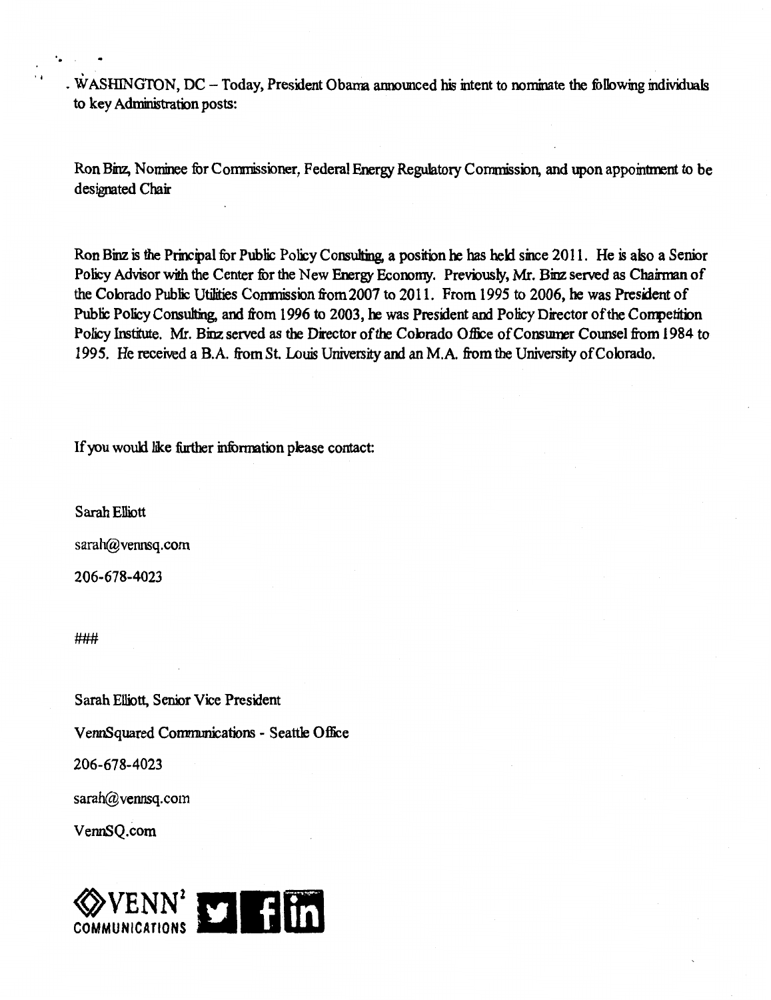. WASHINGTON, DC - Today, President Obama announced his intent to nominate the following individuals to key Administration posts:

Ron Binz, Nominee for Commissioner, Federal Energy Regulatory Commission, and upon appointment to be designated Chair

Ron Binz is the Principal for Public Policy Consulting, a position he has held since 2011. He is also a Senior Policy Advisor with the Center for the New Energy Economy. Previously, Mr. Binz served as Chairman of the Colorado Public Utilities Conmission from 2007 to 2011. From 1995 to 2006, he was President of Public Policy Consulting, and from 1996 to 2003, he was President and Policy Director of the Competition Policy Institute. Mr. Binz served as the Director of the Colorado Office of Consumer Counsel from 1984 to 1995. He received a B.A. from St. Louis University and an M.A. from the University of Colorado.

If you would like further information please contact:

Sarah Elliott

sarah@vennsq.com

206-678-4023

###

Sarah Elliott, Senior Vice President VennSquared Communications- Seattle Office

206-678-4023

sarah@vennsq.com

VennSQ.com

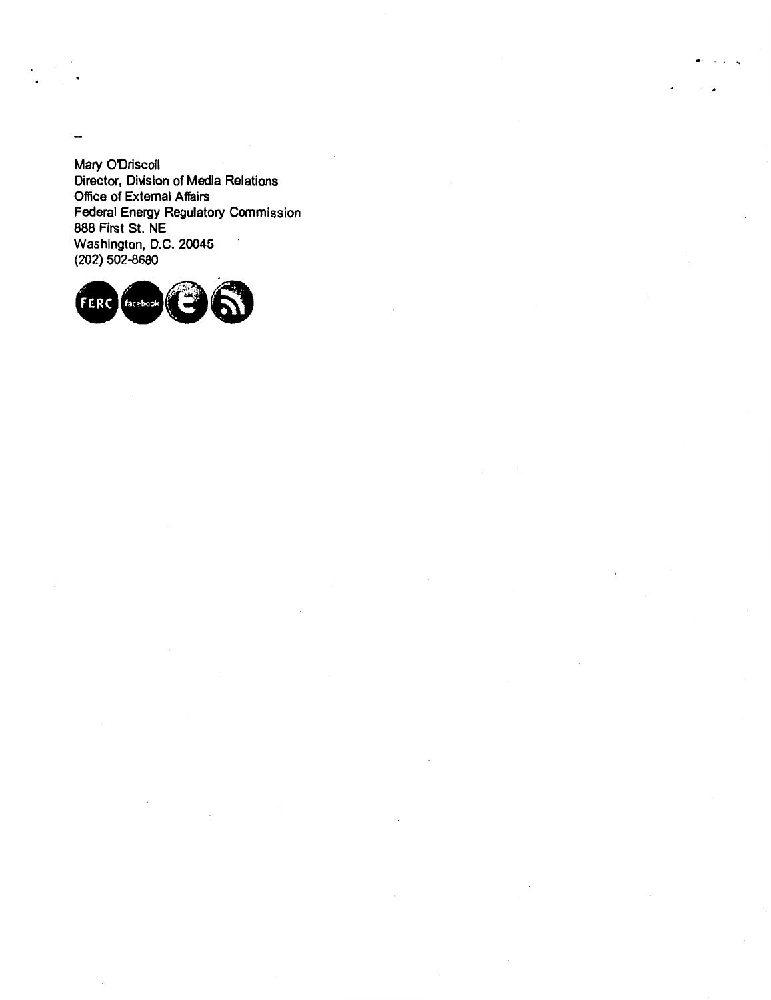Mary O'Driscoll Director, Division of Media Relations Office of External Affairs Federal Energy Regulatory Commission 888 First St. NE Washington, D.C. 20045 (202) 502-8680

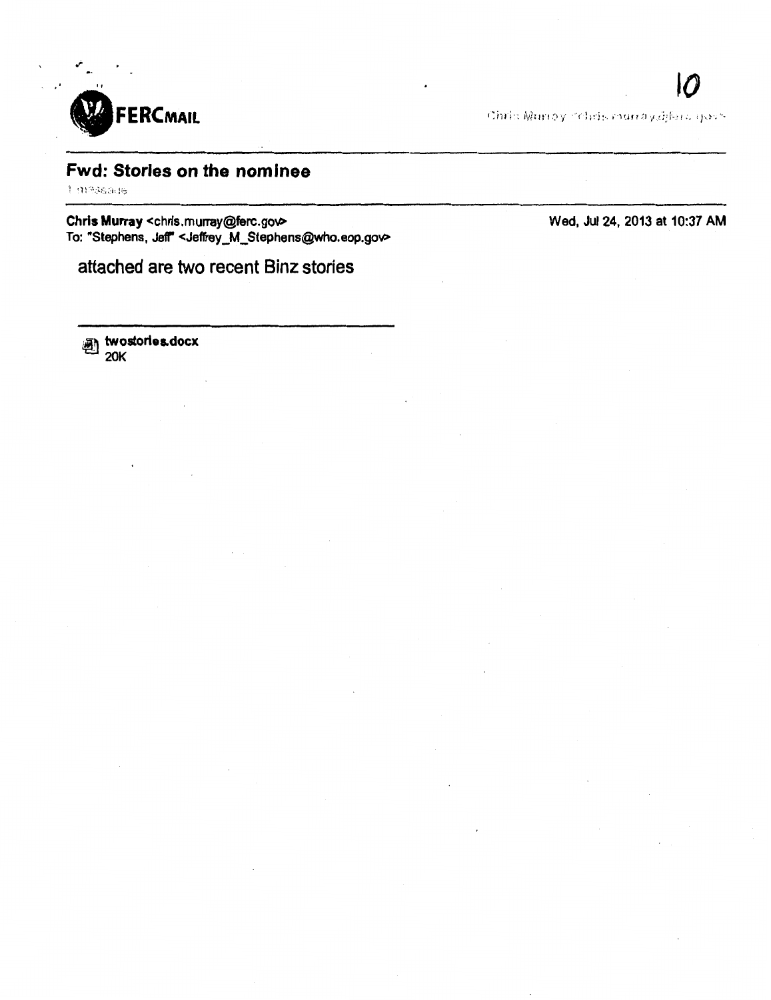

Chris Murroy Schris murray.iffers sports

# Fwd: Stories on the nominee

.~

Chris Murray <chris.murray@ferc.gov> To: "Stephens, Jeff" <Jeffrey\_M\_Stephens@who.eop.gov> Wed, Jul 24, 2013 at 10:37 AM

attached are two recent Binz stories

<sub>画</sub> twostorles.docx 20K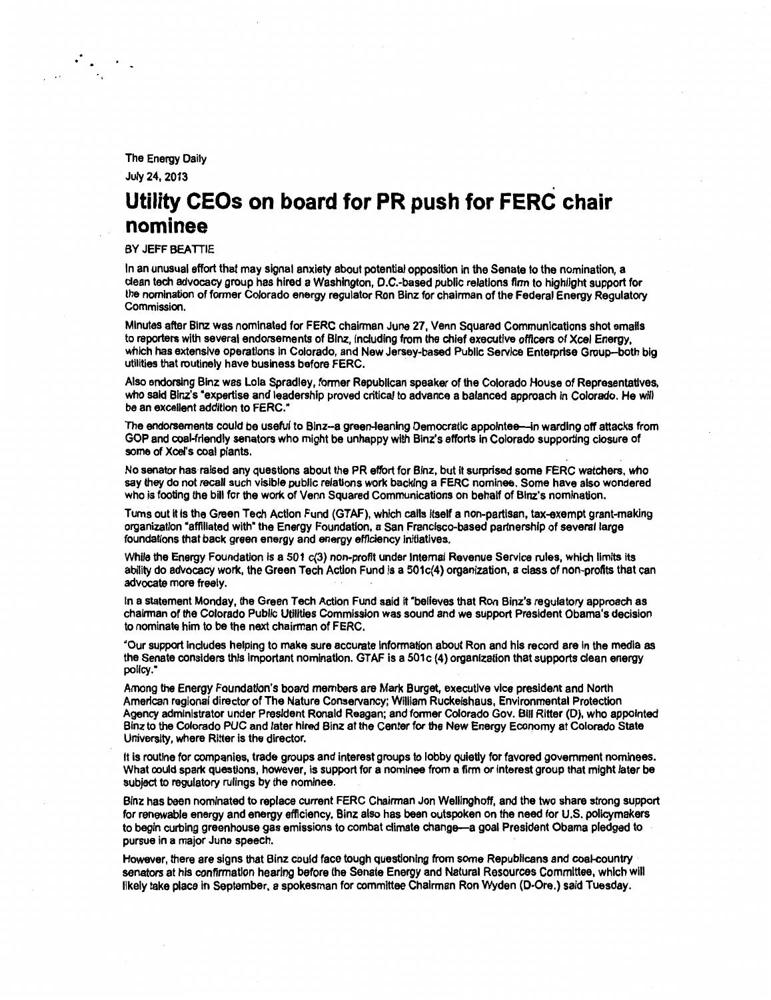The Energy Daily

July 24, 2013

. .

# **Utility CEOs on board for PR push for FERC chair nominee**

BY JEFF BEATIIE

In an unusual effort that may signal anxiety about potential opposition in the Senate to the nomination, a clean tech advocacy group has hired a Washington, D.C.-based public relations firm to highlight support for the nomination of former Colorado energy regulator Ron Binz for chairman of the Federal Energy Regulatory Commission.

Minutes after Blnz was nominated for FERC chairman June 27, Venn Squared Communications shot emalls to reporters with several endorsements of Blnz, including from the chief executive officers of Xcef Energy, which has extensive operations in Colorado, and New Jersey-based Public Service Enterprise Group-both big utilities that routinely have business before FERC.

Also endorsing Blnz was Lola Spradley, former Republican speaker of the Colorado House of Representatives, who said Binz's "expertise and leadership proved critical to advance a balanced approach in Colorado. He will be an excellent addition to FERC."

The endorsements could be useful to Blnz-a green-leaning Democratic appointee-in warding off attacks from GOP and coal-friendly senators who might be unhappy with Binz's efforts In Colorado supporting closure of some of Xcel's coal plants.

No senator has raised any questions about the PR effort for Binz, but It surprised some FERC watchers, who say they do not recall such visible public relations work backing a FERC nominee. Some have also wondered who is footing the bill for the work of Venn Squared Communications on behalf of Binz's nomination.

Turns out it is the Green Tech Action Fund (GTAF), which calls Itself a non-partisan, tax-exempt grant-making organization "affiliated with" the Energy Foundation, a San Francisco-based partnership of several large foundations that back green energy and energy efficiency initiatives.

While the Energy Foundation is a 501 c(3) non-profit under Internal Revenue Service rules, which limits its ability do advocacy work, the Green Tech Action Fund Is a 501c(4) organization, a class of non-profits that can advocate more freely.

In a statement Monday, the Green Tech Action Fund said it "believes that Ron Binz's regulatory approach as chairman of the Colorado Public Utilities Commission was sound and we support President Obama's decision to nominate him to be the next chairman of FERC.

"Our support includes helping to make sure accurate information about Ron and his record are In the media as the Senate considers this important nomination. GTAF is a 501c (4) organization that supports clean energy policy."

Among the Energy Foundation's board members are Mark Burget, executive vice president and North American regional director of The Nature Conservancy; William Ruckelshaus, Environmental Protection Agency administrator under President Ronald Reagan; and former Colorado Gov. Bill Ritter (D), who appointed Binz to the Colorado PUC and later hired Binz at the Center for the New Energy Economy at Colorado State University, where Ritter is the director.

It is routine for companies, trade groups and interest groups to lobby quietly for favored government nominees. What could spark questions, however, is support for a nominee from a firm or interest group that might later be subject to regulatory rulings by the nominee.

Binz has been nominated to replace current FERC Chairman Jon Wellinghoff, and the two share strong support for renewable energy and energy efficiency. Binz also has been outspoken on the need for U.S. policymakers to begin curbing greenhouse gas emissions to combat climate change-a goal President Obama pledged to pursue in a major June speech.

However, there are signs that Binz could face tough questioning from some Republicans and coal-country senators at his confirmation hearing before the Senate Energy and Natural Resources Committee, which will likely take place in September, a spokesman for committee Chairman Ron Wyden (0-0re.) said Tuesday.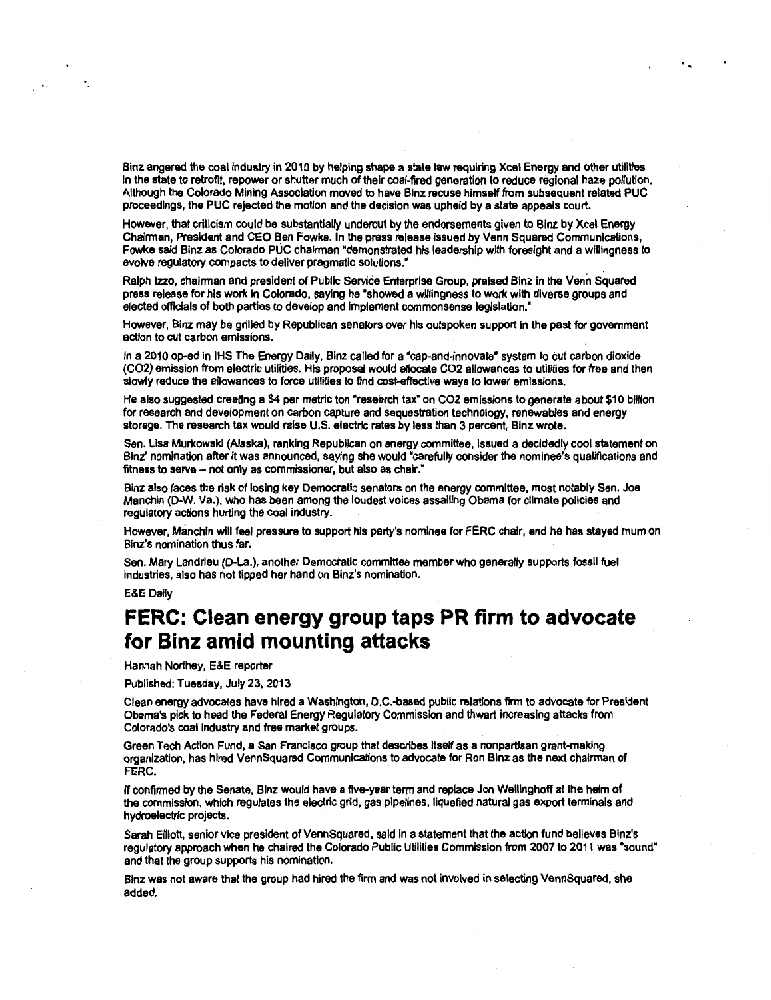Binz angered the coal industry in 2010 by helping shape a state law requiring Xcel Energy and other utilities In the state to retrofit, repower or shutter much of their coal-fired generation to reduce regional haze pollution. Although the Colorado Mining Association moved to have Blnz recuse himself from subsequent related PUC proceedings, the PUC rejected the motion and the decision was upheld by a state appeals court.

However, that criticism could be substantially undercut by the endorsements given to Blnz by Xcel Energy Chairman, President and CEO Ben Fowke. In the press release issued by Venn Squared Communications, Fowke said Blnz as Colorado PUC chairman "demonstrated his leadership with foresight and a willingness to evolve regulatory compacts to deliver pragmatic solutions."

Ralph lzzo, chairman and president of Public Service Enterprise Group, praised Blnz in the Venn Squared press release for his work In Colorado, saying he "showed a willingness to work with diverse groups and elected officials of both parties to develop and Implement commonsense legislation."

However, Binz may be grilled by Republican senators over his outspoken support in the past for government action to cut carbon emissions.

In a 2010 op-ed in IHS The Energy Daily, Binz called for a "cap-and-innovate" system to cut carbon dioxide (C02) emission from electric utilities. His proposal would allocate C02 allowances to utilities for free and then slowly reduce the allowances to force utilities to find cost-effective ways to lower emissions.

He also suggested creating a \$4 per metric ton "research tax" on CO2 emissions to generate about \$10 billion for research and development on carbon capture and sequestration technology, renewables and energy storage. The research tax would raise U.S. electric rates by less than 3 percent, Blnz wrote.

Sen. Lisa Murkowskl (Alaska), ranking Republican on energy committee, issued a decidedly cool statement on Binz' nomination after It was announced, saying she would "carefully consider the nominee's qualifications and fitness to serve- not only as commissioner, but also as chair."

Binz also faces the risk of losing key Democratic senators on the energy committee, most notably Sen. Joe Manchin (D-W. Va.), who has been among the loudest voices assailing Obama for climate policies and regulatory actions hurting the coal industry.

However, Manchln will feel pressure to support his party's nominee for FERC chair, and he has stayed mum on Binz's nomination thus far.

Sen. Mary Landrleu (0-La.), another Democratic committee member who generally supports fossil fuel industries, also has not tipped her hand on Binz's nomination.

E&E Dally

# **FERC: Clean energy group taps PR firm to advocate for Binz amid mounting attacks**

Hannah Northey, E&E reporter

Published: Tuesday, July 23, 2013

Clean energy advocates have hired a Washington, D.C.-based public relations firm to advocate for President Obama's pick to head the Federal Energy Regulatory Commission and thwart Increasing attacks from Colorado's coal industry and free market groups.

Green Tech Action Fund, a San Francisco group that describes itself as a nonpartisan grant-making organization, has hired VennSquared Communications to advocate for Ron Binz as the next chairman of FERC.

If confirmed by the Senate, Binz would have a five-year term and replace Jon Welllnghoff at the helm of the commission, which regulates the electric grid, gas pipelines, liquefied natural gas export terminals and hydroelectric projects.

Sarah Elliott, senior vice president of VennSquared, said in a statement that the action fund believes Binz's regulatory approach when he chaired the Colorado Public Utilities Commission from 2007 to 2011 was "sound" and that the group supports his nomination.

Binz was not aware that the group had hired the firm and was not involved in selecting VennSquared, she added.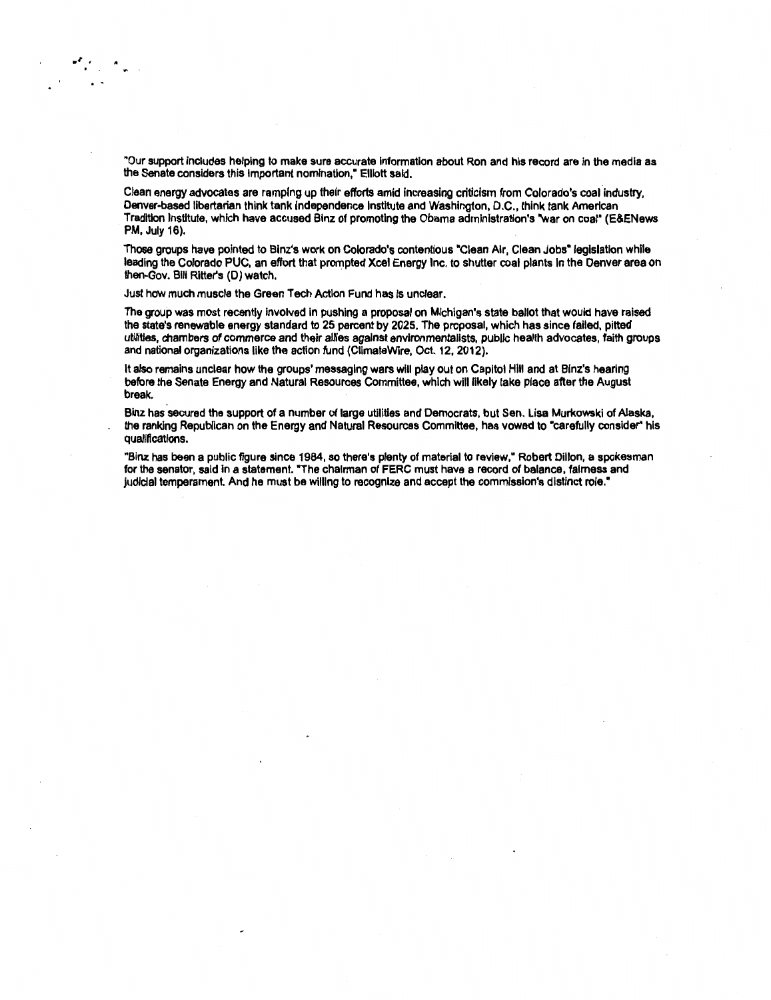"Our support includes helping to make sure accurate information about Ron and his record are in the media as the Senate considers this important nomination," Elliott said.

Clean energy advocates are ramping up their efforts amid increasing criticism from Colorado's coal industry, Denver-based libertarian think tank Independence Institute and Washington, D.C., think tank American Tradition Institute, which have accused Binz of promoting the Obama administration's "war on coal" (E&ENews PM, July 16).

Those groups have pointed to Binz's work on Colorado's contentious "Clean Air, Clean Jobs" legislation while leading the Colorado PUC, an effort that prompted Xcel Energy Inc. to shutter coal plants In the Denver area on then-Gov. Bill Ritter's (D) watch.

Just how much muscle the Green Tech Action Fund has is unclear.

The group was most recently involved in pushing a proposal on Michigan's state ballot that would have raised the state's renewable energy standard to 25 percent by 2025. The proposal, which has since failed, pitted utilities, chambers of commerce and their allies against environmentalists, public health advocates, faith groups and national organizations like the action fund (CiimateWire, Oct. 12, 2012).

It also remains unclear how the groups' messaging wars will play out on Capitol Hill and at Binz's hearing before the Senate Energy and Natural Resources Committee, which will likely take place after the August break.

Binz has secured the support of a number of large utilities and Democrats, but Sen. Lisa Murkowski of Alaska, the ranking Republican on the Energy and Natural Resources Committee, has vowed to "carefully consider" his qualifications.

"Binz has been a public figure since 1984, so there's plenty of material to review," Robert Dillon, a spokesman for the senator, said In a statement. "The chairman of FERC must have a record of balance, fairness and judiclal temperament. And he must be willing to recognize and accept the commission's distinct role. •